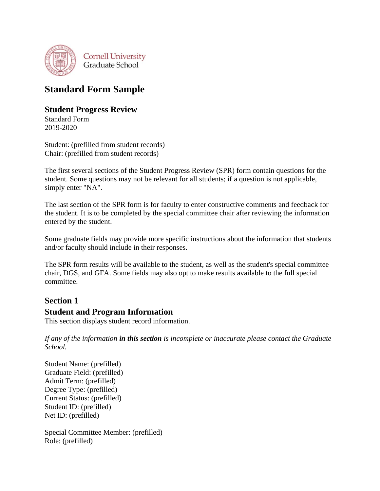

# **Standard Form Sample**

## **Student Progress Review**

Standard Form 2019-2020

Student: (prefilled from student records) Chair: (prefilled from student records)

The first several sections of the Student Progress Review (SPR) form contain questions for the student. Some questions may not be relevant for all students; if a question is not applicable, simply enter "NA".

The last section of the SPR form is for faculty to enter constructive comments and feedback for the student. It is to be completed by the special committee chair after reviewing the information entered by the student.

Some graduate fields may provide more specific instructions about the information that students and/or faculty should include in their responses.

The SPR form results will be available to the student, as well as the student's special committee chair, DGS, and GFA. Some fields may also opt to make results available to the full special committee.

## **Section 1**

## **Student and Program Information**

This section displays student record information.

*If any of the information in this section is incomplete or inaccurate please contact the Graduate School.* 

Student Name: (prefilled) Graduate Field: (prefilled) Admit Term: (prefilled) Degree Type: (prefilled) Current Status: (prefilled) Student ID: (prefilled) Net ID: (prefilled)

Special Committee Member: (prefilled) Role: (prefilled)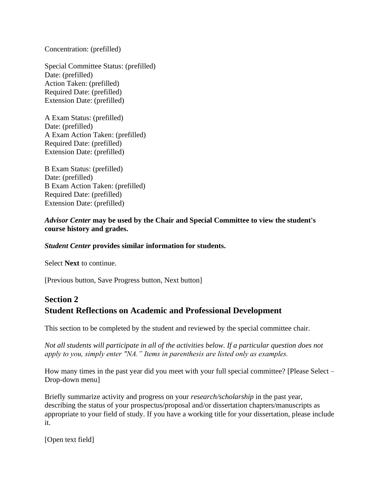Concentration: (prefilled)

Special Committee Status: (prefilled) Date: (prefilled) Action Taken: (prefilled) Required Date: (prefilled) Extension Date: (prefilled)

A Exam Status: (prefilled) Date: (prefilled) A Exam Action Taken: (prefilled) Required Date: (prefilled) Extension Date: (prefilled)

B Exam Status: (prefilled) Date: (prefilled) B Exam Action Taken: (prefilled) Required Date: (prefilled) Extension Date: (prefilled)

### *Advisor Center* **may be used by the Chair and Special Committee to view the student's course history and grades.**

### *Student Center* **provides similar information for students.**

Select **Next** to continue.

[Previous button, Save Progress button, Next button]

## **Section 2 Student Reflections on Academic and Professional Development**

This section to be completed by the student and reviewed by the special committee chair.

*Not all students will participate in all of the activities below. If a particular question does not apply to you, simply enter "NA." Items in parenthesis are listed only as examples.*

How many times in the past year did you meet with your full special committee? [Please Select – Drop-down menu]

Briefly summarize activity and progress on your *research/scholarship* in the past year, describing the status of your prospectus/proposal and/or dissertation chapters/manuscripts as appropriate to your field of study. If you have a working title for your dissertation, please include it.

[Open text field]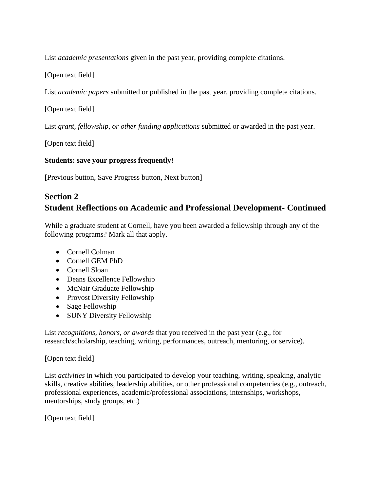List *academic presentations* given in the past year, providing complete citations.

[Open text field]

List *academic papers* submitted or published in the past year, providing complete citations.

[Open text field]

List *grant, fellowship, or other funding applications* submitted or awarded in the past year.

[Open text field]

### **Students: save your progress frequently!**

[Previous button, Save Progress button, Next button]

## **Section 2**

## **Student Reflections on Academic and Professional Development- Continued**

While a graduate student at Cornell, have you been awarded a fellowship through any of the following programs? Mark all that apply.

- Cornell Colman
- Cornell GEM PhD
- Cornell Sloan
- Deans Excellence Fellowship
- McNair Graduate Fellowship
- Provost Diversity Fellowship
- Sage Fellowship
- SUNY Diversity Fellowship

List *recognitions, honors, or awards* that you received in the past year (e.g., for research/scholarship, teaching, writing, performances, outreach, mentoring, or service).

### [Open text field]

List *activities* in which you participated to develop your teaching, writing, speaking, analytic skills, creative abilities, leadership abilities, or other professional competencies (e.g., outreach, professional experiences, academic/professional associations, internships, workshops, mentorships, study groups, etc.)

[Open text field]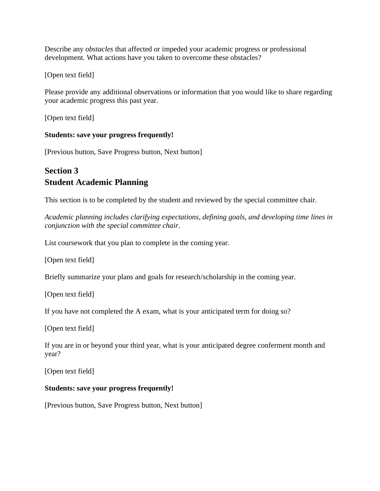Describe any *obstacles* that affected or impeded your academic progress or professional development. What actions have you taken to overcome these obstacles?

[Open text field]

Please provide any additional observations or information that you would like to share regarding your academic progress this past year.

[Open text field]

### **Students: save your progress frequently!**

[Previous button, Save Progress button, Next button]

## **Section 3 Student Academic Planning**

This section is to be completed by the student and reviewed by the special committee chair.

*Academic planning includes clarifying expectations, defining goals, and developing time lines in conjunction with the special committee chair.*

List coursework that you plan to complete in the coming year.

[Open text field]

Briefly summarize your plans and goals for research/scholarship in the coming year.

[Open text field]

If you have not completed the A exam, what is your anticipated term for doing so?

[Open text field]

If you are in or beyond your third year, what is your anticipated degree conferment month and year?

[Open text field]

### **Students: save your progress frequently!**

[Previous button, Save Progress button, Next button]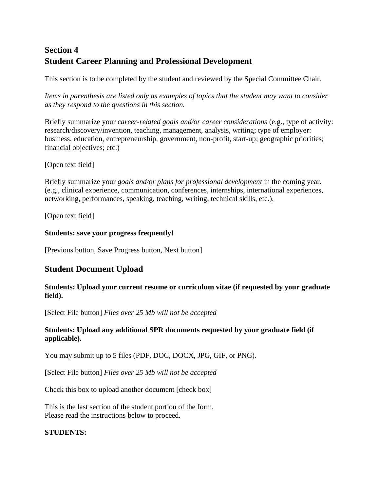# **Section 4 Student Career Planning and Professional Development**

This section is to be completed by the student and reviewed by the Special Committee Chair.

*Items in parenthesis are listed only as examples of topics that the student may want to consider as they respond to the questions in this section.*

Briefly summarize your *career-related goals and/or career considerations* (e.g., type of activity: research/discovery/invention, teaching, management, analysis, writing; type of employer: business, education, entrepreneurship, government, non-profit, start-up; geographic priorities; financial objectives; etc.)

### [Open text field]

Briefly summarize your *goals and/or plans for professional development* in the coming year. (e.g., clinical experience, communication, conferences, internships, international experiences, networking, performances, speaking, teaching, writing, technical skills, etc.).

[Open text field]

### **Students: save your progress frequently!**

[Previous button, Save Progress button, Next button]

## **Student Document Upload**

### **Students: Upload your current resume or curriculum vitae (if requested by your graduate field).**

[Select File button] *Files over 25 Mb will not be accepted*

### **Students: Upload any additional SPR documents requested by your graduate field (if applicable).**

You may submit up to 5 files (PDF, DOC, DOCX, JPG, GIF, or PNG).

[Select File button] *Files over 25 Mb will not be accepted*

Check this box to upload another document [check box]

This is the last section of the student portion of the form. Please read the instructions below to proceed.

### **STUDENTS:**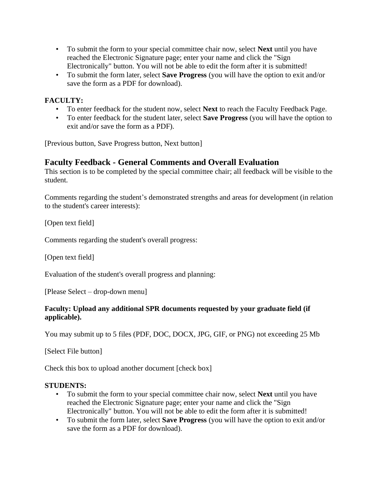- To submit the form to your special committee chair now, select **Next** until you have reached the Electronic Signature page; enter your name and click the "Sign Electronically" button. You will not be able to edit the form after it is submitted!
- To submit the form later, select **Save Progress** (you will have the option to exit and/or save the form as a PDF for download).

## **FACULTY:**

- To enter feedback for the student now, select **Next** to reach the Faculty Feedback Page.
- To enter feedback for the student later, select **Save Progress** (you will have the option to exit and/or save the form as a PDF).

[Previous button, Save Progress button, Next button]

### **Faculty Feedback - General Comments and Overall Evaluation**

This section is to be completed by the special committee chair; all feedback will be visible to the student.

Comments regarding the student's demonstrated strengths and areas for development (in relation to the student's career interests):

[Open text field]

Comments regarding the student's overall progress:

[Open text field]

Evaluation of the student's overall progress and planning:

[Please Select – drop-down menu]

### **Faculty: Upload any additional SPR documents requested by your graduate field (if applicable).**

You may submit up to 5 files (PDF, DOC, DOCX, JPG, GIF, or PNG) not exceeding 25 Mb

[Select File button]

Check this box to upload another document [check box]

### **STUDENTS:**

- To submit the form to your special committee chair now, select **Next** until you have reached the Electronic Signature page; enter your name and click the "Sign Electronically" button. You will not be able to edit the form after it is submitted!
- To submit the form later, select **Save Progress** (you will have the option to exit and/or save the form as a PDF for download).